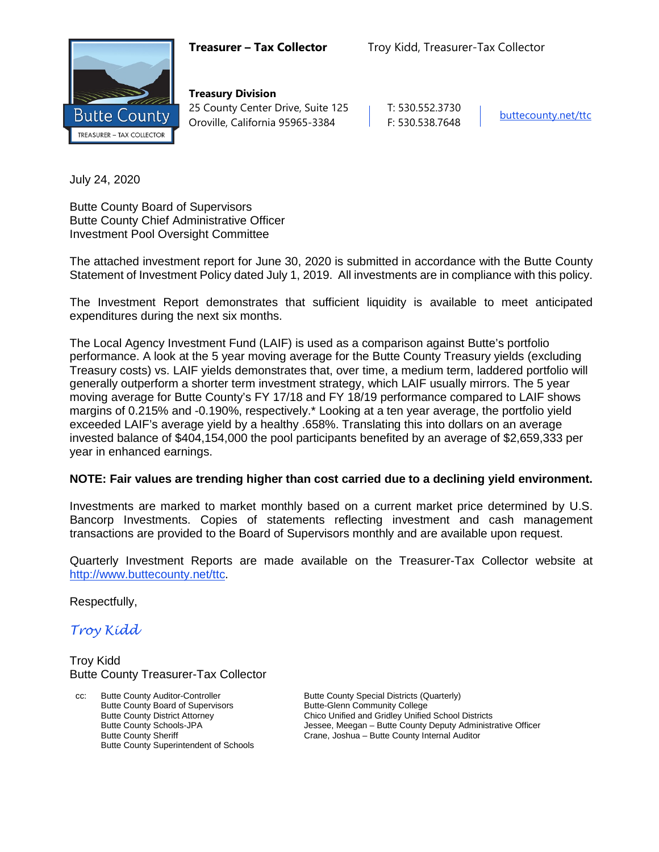

**Treasury Division** 25 County Center Drive, Suite 125 | T: 530.552.3730 Oroville, California 95965-3384 F: 530.538.7648 [buttecounty.net/t](http://www.buttecounty.net/administration)tc

July 24, 2020

Butte County Board of Supervisors Butte County Chief Administrative Officer Investment Pool Oversight Committee

The attached investment report for June 30, 2020 is submitted in accordance with the Butte County Statement of Investment Policy dated July 1, 2019. All investments are in compliance with this policy.

The Investment Report demonstrates that sufficient liquidity is available to meet anticipated expenditures during the next six months.

The Local Agency Investment Fund (LAIF) is used as a comparison against Butte's portfolio performance. A look at the 5 year moving average for the Butte County Treasury yields (excluding Treasury costs) vs. LAIF yields demonstrates that, over time, a medium term, laddered portfolio will generally outperform a shorter term investment strategy, which LAIF usually mirrors. The 5 year moving average for Butte County's FY 17/18 and FY 18/19 performance compared to LAIF shows margins of 0.215% and -0.190%, respectively.\* Looking at a ten year average, the portfolio yield exceeded LAIF's average yield by a healthy .658%. Translating this into dollars on an average invested balance of \$404,154,000 the pool participants benefited by an average of \$2,659,333 per year in enhanced earnings.

#### **NOTE: Fair values are trending higher than cost carried due to a declining yield environment.**

Investments are marked to market monthly based on a current market price determined by U.S. Bancorp Investments. Copies of statements reflecting investment and cash management transactions are provided to the Board of Supervisors monthly and are available upon request.

Quarterly Investment Reports are made available on the Treasurer-Tax Collector website at <http://www.buttecounty.net/ttc>.

Respectfully,

*Troy Kidd*

Troy Kidd Butte County Treasurer-Tax Collector

Butte County Auditor-Controller **Butte County Special Districts (Quarterly)** Butte County Special Districts (Quarterly) Butte County Board of Supervisors<br>
Butte County District Attorney<br>
Chico Unified and Gridley Unified Butte County Superintendent of Schools

Butte County District Attorney<br>
Butte County Schools-JPA<br>
Jessee, Meegan – Butte County Deputy Administr Butte County Schools-JPA **Jessee, Meegan – Butte County Deputy Administrative Officer**<br>
Crane, Joshua – Butte County Internal Auditor<br>
Drame, Joshua – Butte County Internal Auditor Crane, Joshua – Butte County Internal Auditor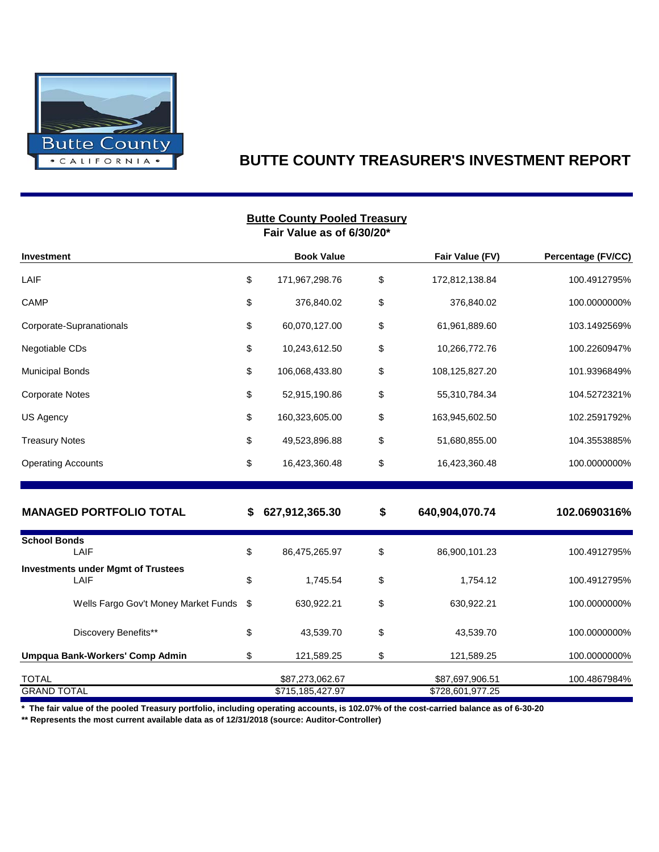

### **BUTTE COUNTY TREASURER'S INVESTMENT REPORT**

|                                                   |    | <b>Butte County Pooled Treasury</b><br>Fair Value as of 6/30/20* |                                     |                    |
|---------------------------------------------------|----|------------------------------------------------------------------|-------------------------------------|--------------------|
| Investment                                        |    | <b>Book Value</b>                                                | Fair Value (FV)                     | Percentage (FV/CC) |
| LAIF                                              | \$ | 171,967,298.76                                                   | \$<br>172,812,138.84                | 100.4912795%       |
| CAMP                                              | \$ | 376,840.02                                                       | \$<br>376,840.02                    | 100.0000000%       |
| Corporate-Supranationals                          | \$ | 60,070,127.00                                                    | \$<br>61,961,889.60                 | 103.1492569%       |
| Negotiable CDs                                    | \$ | 10,243,612.50                                                    | \$<br>10,266,772.76                 | 100.2260947%       |
| <b>Municipal Bonds</b>                            | \$ | 106,068,433.80                                                   | \$<br>108,125,827.20                | 101.9396849%       |
| <b>Corporate Notes</b>                            | \$ | 52,915,190.86                                                    | \$<br>55,310,784.34                 | 104.5272321%       |
| US Agency                                         | \$ | 160,323,605.00                                                   | \$<br>163,945,602.50                | 102.2591792%       |
| <b>Treasury Notes</b>                             | \$ | 49,523,896.88                                                    | \$<br>51,680,855.00                 | 104.3553885%       |
| <b>Operating Accounts</b>                         | \$ | 16,423,360.48                                                    | \$<br>16,423,360.48                 | 100.0000000%       |
| <b>MANAGED PORTFOLIO TOTAL</b>                    | S  | 627,912,365.30                                                   | \$<br>640,904,070.74                | 102.0690316%       |
| <b>School Bonds</b><br>LAIF                       | \$ | 86,475,265.97                                                    | \$<br>86,900,101.23                 | 100.4912795%       |
| <b>Investments under Mgmt of Trustees</b><br>LAIF | \$ | 1,745.54                                                         | \$<br>1,754.12                      | 100.4912795%       |
| Wells Fargo Gov't Money Market Funds              | \$ | 630,922.21                                                       | \$<br>630,922.21                    | 100.0000000%       |
| Discovery Benefits**                              | \$ | 43,539.70                                                        | \$<br>43,539.70                     | 100.0000000%       |
| Umpqua Bank-Workers' Comp Admin                   | \$ | 121,589.25                                                       | \$<br>121,589.25                    | 100.0000000%       |
| TOTAL<br><b>GRAND TOTAL</b>                       |    | \$87,273,062.67<br>\$715,185,427.97                              | \$87,697,906.51<br>\$728,601,977.25 | 100.4867984%       |

**\* The fair value of the pooled Treasury portfolio, including operating accounts, is 102.07% of the cost-carried balance as of 6-30-20**

**\*\* Represents the most current available data as of 12/31/2018 (source: Auditor-Controller)**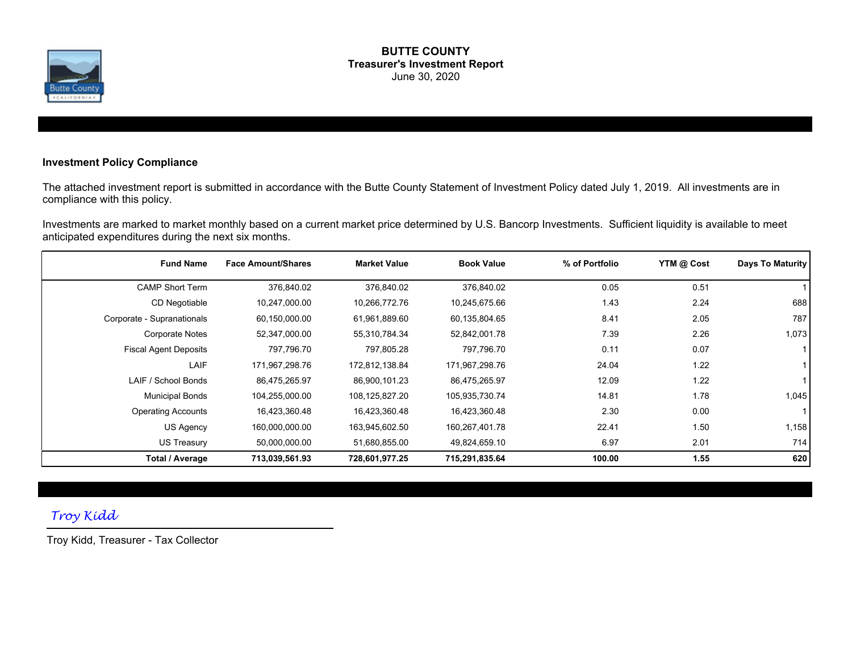

#### **BUTTE COUNTY Treasurer's Investment Report** June 30, 2020

#### **Investment Policy Compliance**

The attached investment report is submitted in accordance with the Butte County Statement of Investment Policy dated July 1, 2019. All investments are in compliance with this policy.

Investments are marked to market monthly based on a current market price determined by U.S. Bancorp Investments. Sufficient liquidity is available to meet anticipated expenditures during the next six months.

| <b>Fund Name</b>             | <b>Face Amount/Shares</b> | <b>Market Value</b> | <b>Book Value</b> | % of Portfolio | YTM @ Cost | Days To Maturity |
|------------------------------|---------------------------|---------------------|-------------------|----------------|------------|------------------|
| <b>CAMP Short Term</b>       | 376,840.02                | 376,840.02          | 376,840.02        | 0.05           | 0.51       |                  |
| CD Negotiable                | 10,247,000.00             | 10,266,772.76       | 10,245,675.66     | 1.43           | 2.24       | 688              |
| Corporate - Supranationals   | 60,150,000.00             | 61,961,889.60       | 60,135,804.65     | 8.41           | 2.05       | 787              |
| <b>Corporate Notes</b>       | 52,347,000.00             | 55,310,784.34       | 52,842,001.78     | 7.39           | 2.26       | 1,073            |
| <b>Fiscal Agent Deposits</b> | 797,796.70                | 797,805.28          | 797,796.70        | 0.11           | 0.07       |                  |
| LAIF                         | 171,967,298.76            | 172,812,138.84      | 171,967,298.76    | 24.04          | 1.22       |                  |
| LAIF / School Bonds          | 86,475,265.97             | 86,900,101.23       | 86,475,265.97     | 12.09          | 1.22       |                  |
| <b>Municipal Bonds</b>       | 104,255,000.00            | 108,125,827.20      | 105,935,730.74    | 14.81          | 1.78       | 1,045            |
| <b>Operating Accounts</b>    | 16,423,360.48             | 16,423,360.48       | 16,423,360.48     | 2.30           | 0.00       |                  |
| US Agency                    | 160,000,000.00            | 163,945,602.50      | 160,267,401.78    | 22.41          | 1.50       | 1,158            |
| <b>US Treasury</b>           | 50,000,000.00             | 51,680,855.00       | 49,824,659.10     | 6.97           | 2.01       | 714              |
| Total / Average              | 713,039,561.93            | 728,601,977.25      | 715,291,835.64    | 100.00         | 1.55       | 620              |

### *Troy Kidd*

Troy Kidd, Treasurer - Tax Collector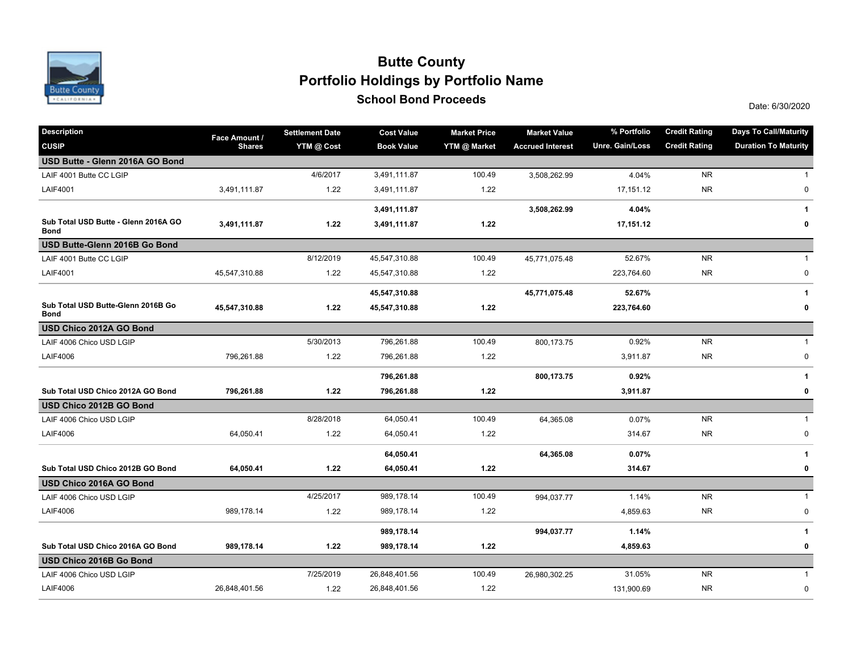

## Date: 6/30/2020 **School Bond Proceeds Portfolio Holdings by Portfolio Name Butte County**

| <b>Description</b>                                  | Face Amount / | <b>Settlement Date</b> | <b>Cost Value</b> | <b>Market Price</b> | <b>Market Value</b>     | % Portfolio     | <b>Credit Rating</b> | <b>Days To Call/Maturity</b> |
|-----------------------------------------------------|---------------|------------------------|-------------------|---------------------|-------------------------|-----------------|----------------------|------------------------------|
| <b>CUSIP</b>                                        | <b>Shares</b> | YTM @ Cost             | <b>Book Value</b> | YTM @ Market        | <b>Accrued Interest</b> | Unre. Gain/Loss | <b>Credit Rating</b> | <b>Duration To Maturity</b>  |
| USD Butte - Glenn 2016A GO Bond                     |               |                        |                   |                     |                         |                 |                      |                              |
| LAIF 4001 Butte CC LGIP                             |               | 4/6/2017               | 3,491,111.87      | 100.49              | 3,508,262.99            | 4.04%           | <b>NR</b>            | 1                            |
| <b>LAIF4001</b>                                     | 3,491,111.87  | 1.22                   | 3,491,111.87      | 1.22                |                         | 17,151.12       | <b>NR</b>            | 0                            |
|                                                     |               |                        | 3,491,111.87      |                     | 3,508,262.99            | 4.04%           |                      | 1                            |
| Sub Total USD Butte - Glenn 2016A GO<br><b>Bond</b> | 3,491,111.87  | 1.22                   | 3,491,111.87      | 1.22                |                         | 17,151.12       |                      | 0                            |
| USD Butte-Glenn 2016B Go Bond                       |               |                        |                   |                     |                         |                 |                      |                              |
| LAIF 4001 Butte CC LGIP                             |               | 8/12/2019              | 45,547,310.88     | 100.49              | 45,771,075.48           | 52.67%          | <b>NR</b>            | $\mathbf{1}$                 |
| <b>LAIF4001</b>                                     | 45,547,310.88 | 1.22                   | 45,547,310.88     | 1.22                |                         | 223,764.60      | <b>NR</b>            | $\pmb{0}$                    |
|                                                     |               |                        | 45,547,310.88     |                     | 45,771,075.48           | 52.67%          |                      | 1                            |
| Sub Total USD Butte-Glenn 2016B Go<br><b>Bond</b>   | 45,547,310.88 | 1.22                   | 45,547,310.88     | 1.22                |                         | 223,764.60      |                      | 0                            |
| USD Chico 2012A GO Bond                             |               |                        |                   |                     |                         |                 |                      |                              |
| LAIF 4006 Chico USD LGIP                            |               | 5/30/2013              | 796,261.88        | 100.49              | 800,173.75              | 0.92%           | <b>NR</b>            | $\mathbf{1}$                 |
| <b>LAIF4006</b>                                     | 796,261.88    | 1.22                   | 796,261.88        | 1.22                |                         | 3,911.87        | <b>NR</b>            | $\pmb{0}$                    |
|                                                     |               |                        | 796,261.88        |                     | 800,173.75              | 0.92%           |                      | 1                            |
| Sub Total USD Chico 2012A GO Bond                   | 796,261.88    | 1.22                   | 796,261.88        | 1.22                |                         | 3,911.87        |                      | 0                            |
| USD Chico 2012B GO Bond                             |               |                        |                   |                     |                         |                 |                      |                              |
| LAIF 4006 Chico USD LGIP                            |               | 8/28/2018              | 64,050.41         | 100.49              | 64,365.08               | 0.07%           | <b>NR</b>            | $\mathbf{1}$                 |
| <b>LAIF4006</b>                                     | 64,050.41     | 1.22                   | 64,050.41         | 1.22                |                         | 314.67          | <b>NR</b>            | 0                            |
|                                                     |               |                        | 64,050.41         |                     | 64,365.08               | 0.07%           |                      | $\mathbf{1}$                 |
| Sub Total USD Chico 2012B GO Bond                   | 64,050.41     | 1.22                   | 64,050.41         | 1.22                |                         | 314.67          |                      | 0                            |
| USD Chico 2016A GO Bond                             |               |                        |                   |                     |                         |                 |                      |                              |
| LAIF 4006 Chico USD LGIP                            |               | 4/25/2017              | 989,178.14        | 100.49              | 994,037.77              | 1.14%           | <b>NR</b>            | $\mathbf{1}$                 |
| <b>LAIF4006</b>                                     | 989,178.14    | 1.22                   | 989,178.14        | 1.22                |                         | 4,859.63        | <b>NR</b>            | 0                            |
|                                                     |               |                        | 989,178.14        |                     | 994,037.77              | 1.14%           |                      | 1                            |
| Sub Total USD Chico 2016A GO Bond                   | 989,178.14    | 1.22                   | 989,178.14        | 1.22                |                         | 4,859.63        |                      | 0                            |
| USD Chico 2016B Go Bond                             |               |                        |                   |                     |                         |                 |                      |                              |
| LAIF 4006 Chico USD LGIP                            |               | 7/25/2019              | 26,848,401.56     | 100.49              | 26,980,302.25           | 31.05%          | <b>NR</b>            | $\mathbf{1}$                 |
| <b>LAIF4006</b>                                     | 26,848,401.56 | 1.22                   | 26,848,401.56     | 1.22                |                         | 131,900.69      | <b>NR</b>            | $\pmb{0}$                    |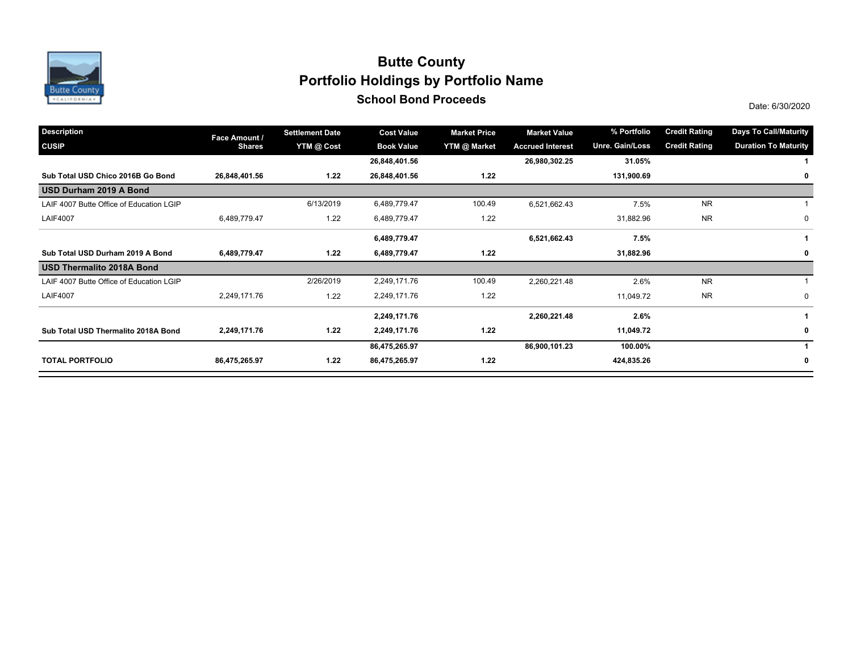

## **School Bond Proceeds School Bond Proceeds Portfolio Holdings by Portfolio Name Butte County**

| <b>Description</b>                       | Face Amount / | <b>Settlement Date</b> | <b>Cost Value</b> | <b>Market Price</b> | <b>Market Value</b>     | % Portfolio     | <b>Credit Rating</b> | <b>Days To Call/Maturity</b> |
|------------------------------------------|---------------|------------------------|-------------------|---------------------|-------------------------|-----------------|----------------------|------------------------------|
| <b>CUSIP</b>                             | <b>Shares</b> | YTM @ Cost             | <b>Book Value</b> | YTM @ Market        | <b>Accrued Interest</b> | Unre. Gain/Loss | <b>Credit Rating</b> | <b>Duration To Maturity</b>  |
|                                          |               |                        | 26,848,401.56     |                     | 26,980,302.25           | 31.05%          |                      |                              |
| Sub Total USD Chico 2016B Go Bond        | 26,848,401.56 | 1.22                   | 26,848,401.56     | 1.22                |                         | 131,900.69      |                      | 0                            |
| USD Durham 2019 A Bond                   |               |                        |                   |                     |                         |                 |                      |                              |
| LAIF 4007 Butte Office of Education LGIP |               | 6/13/2019              | 6,489,779.47      | 100.49              | 6,521,662.43            | 7.5%            | <b>NR</b>            |                              |
| <b>LAIF4007</b>                          | 6,489,779.47  | 1.22                   | 6,489,779.47      | 1.22                |                         | 31,882.96       | <b>NR</b>            | 0                            |
|                                          |               |                        | 6,489,779.47      |                     | 6,521,662.43            | 7.5%            |                      |                              |
| Sub Total USD Durham 2019 A Bond         | 6,489,779.47  | 1.22                   | 6,489,779.47      | 1.22                |                         | 31,882.96       |                      | 0                            |
| USD Thermalito 2018A Bond                |               |                        |                   |                     |                         |                 |                      |                              |
| LAIF 4007 Butte Office of Education LGIP |               | 2/26/2019              | 2,249,171.76      | 100.49              | 2,260,221.48            | 2.6%            | <b>NR</b>            |                              |
| <b>LAIF4007</b>                          | 2,249,171.76  | 1.22                   | 2,249,171.76      | 1.22                |                         | 11,049.72       | <b>NR</b>            | 0                            |
|                                          |               |                        | 2,249,171.76      |                     | 2,260,221.48            | 2.6%            |                      |                              |
| Sub Total USD Thermalito 2018A Bond      | 2,249,171.76  | 1.22                   | 2,249,171.76      | 1.22                |                         | 11,049.72       |                      | $\mathbf{0}$                 |
|                                          |               |                        | 86,475,265.97     |                     | 86,900,101.23           | 100.00%         |                      |                              |
| <b>TOTAL PORTFOLIO</b>                   | 86,475,265.97 | 1.22                   | 86,475,265.97     | 1.22                |                         | 424,835.26      |                      | $\mathbf 0$                  |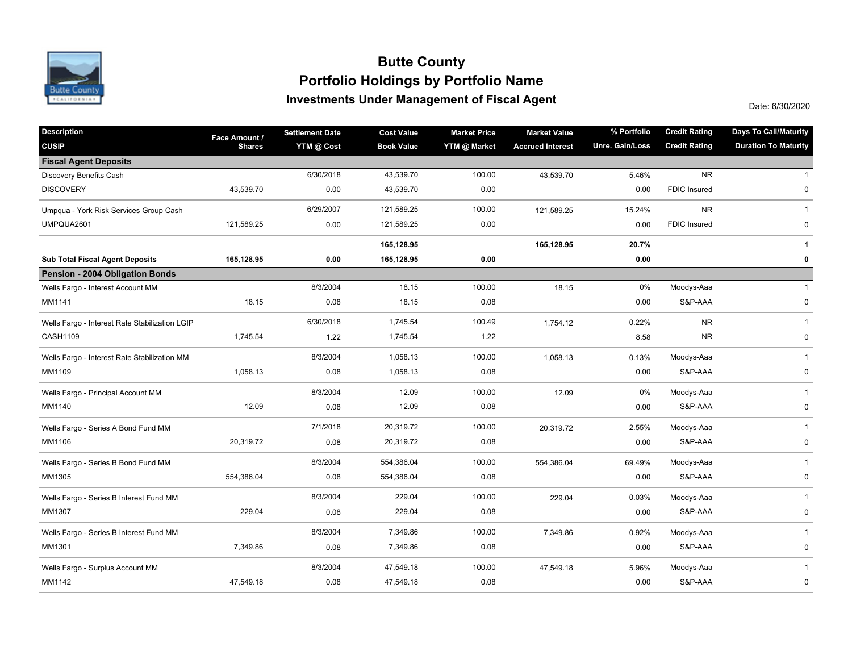

### **Investments Under Management of Fiscal Agent Portfolio Holdings by Portfolio Name Butte County**

Date: 6/30/2020

| <b>Description</b>                             | Face Amount / | <b>Settlement Date</b> | <b>Cost Value</b> | <b>Market Price</b> | <b>Market Value</b>     | % Portfolio     | <b>Credit Rating</b> | <b>Days To Call/Maturity</b> |
|------------------------------------------------|---------------|------------------------|-------------------|---------------------|-------------------------|-----------------|----------------------|------------------------------|
| <b>CUSIP</b>                                   | <b>Shares</b> | YTM @ Cost             | <b>Book Value</b> | YTM @ Market        | <b>Accrued Interest</b> | Unre. Gain/Loss | <b>Credit Rating</b> | <b>Duration To Maturity</b>  |
| <b>Fiscal Agent Deposits</b>                   |               |                        |                   |                     |                         |                 |                      |                              |
| Discovery Benefits Cash                        |               | 6/30/2018              | 43,539.70         | 100.00              | 43,539.70               | 5.46%           | <b>NR</b>            | $\mathbf{1}$                 |
| <b>DISCOVERY</b>                               | 43,539.70     | 0.00                   | 43,539.70         | 0.00                |                         | 0.00            | <b>FDIC Insured</b>  | $\mathbf 0$                  |
| Umpqua - York Risk Services Group Cash         |               | 6/29/2007              | 121,589.25        | 100.00              | 121,589.25              | 15.24%          | <b>NR</b>            | $\mathbf{1}$                 |
| UMPQUA2601                                     | 121,589.25    | 0.00                   | 121,589.25        | 0.00                |                         | 0.00            | <b>FDIC Insured</b>  | 0                            |
|                                                |               |                        | 165,128.95        |                     | 165,128.95              | 20.7%           |                      | 1                            |
| <b>Sub Total Fiscal Agent Deposits</b>         | 165,128.95    | 0.00                   | 165,128.95        | 0.00                |                         | 0.00            |                      | 0                            |
| Pension - 2004 Obligation Bonds                |               |                        |                   |                     |                         |                 |                      |                              |
| Wells Fargo - Interest Account MM              |               | 8/3/2004               | 18.15             | 100.00              | 18.15                   | 0%              | Moodys-Aaa           | $\mathbf{1}$                 |
| MM1141                                         | 18.15         | 0.08                   | 18.15             | 0.08                |                         | 0.00            | S&P-AAA              | 0                            |
| Wells Fargo - Interest Rate Stabilization LGIP |               | 6/30/2018              | 1,745.54          | 100.49              | 1,754.12                | 0.22%           | <b>NR</b>            | $\mathbf{1}$                 |
| CASH1109                                       | 1,745.54      | 1.22                   | 1,745.54          | 1.22                |                         | 8.58            | <b>NR</b>            | $\pmb{0}$                    |
| Wells Fargo - Interest Rate Stabilization MM   |               | 8/3/2004               | 1,058.13          | 100.00              | 1,058.13                | 0.13%           | Moodys-Aaa           | $\mathbf{1}$                 |
| MM1109                                         | 1,058.13      | 0.08                   | 1,058.13          | 0.08                |                         | 0.00            | S&P-AAA              | 0                            |
| Wells Fargo - Principal Account MM             |               | 8/3/2004               | 12.09             | 100.00              | 12.09                   | 0%              | Moodys-Aaa           | $\mathbf{1}$                 |
| MM1140                                         | 12.09         | 0.08                   | 12.09             | 0.08                |                         | 0.00            | S&P-AAA              | 0                            |
| Wells Fargo - Series A Bond Fund MM            |               | 7/1/2018               | 20,319.72         | 100.00              | 20,319.72               | 2.55%           | Moodys-Aaa           | $\mathbf{1}$                 |
| MM1106                                         | 20,319.72     | 0.08                   | 20,319.72         | 0.08                |                         | 0.00            | S&P-AAA              | 0                            |
| Wells Fargo - Series B Bond Fund MM            |               | 8/3/2004               | 554,386.04        | 100.00              | 554,386.04              | 69.49%          | Moodys-Aaa           | $\mathbf 1$                  |
| MM1305                                         | 554,386.04    | 0.08                   | 554,386.04        | 0.08                |                         | 0.00            | S&P-AAA              | $\pmb{0}$                    |
| Wells Fargo - Series B Interest Fund MM        |               | 8/3/2004               | 229.04            | 100.00              | 229.04                  | 0.03%           | Moodys-Aaa           | $\mathbf{1}$                 |
| MM1307                                         | 229.04        | 0.08                   | 229.04            | 0.08                |                         | 0.00            | S&P-AAA              | 0                            |
| Wells Fargo - Series B Interest Fund MM        |               | 8/3/2004               | 7,349.86          | 100.00              | 7,349.86                | 0.92%           | Moodys-Aaa           | $\mathbf{1}$                 |
| MM1301                                         | 7,349.86      | 0.08                   | 7,349.86          | 0.08                |                         | 0.00            | S&P-AAA              | 0                            |
| Wells Fargo - Surplus Account MM               |               | 8/3/2004               | 47,549.18         | 100.00              | 47,549.18               | 5.96%           | Moodys-Aaa           | $\mathbf{1}$                 |
| MM1142                                         | 47,549.18     | 0.08                   | 47,549.18         | 0.08                |                         | 0.00            | S&P-AAA              | 0                            |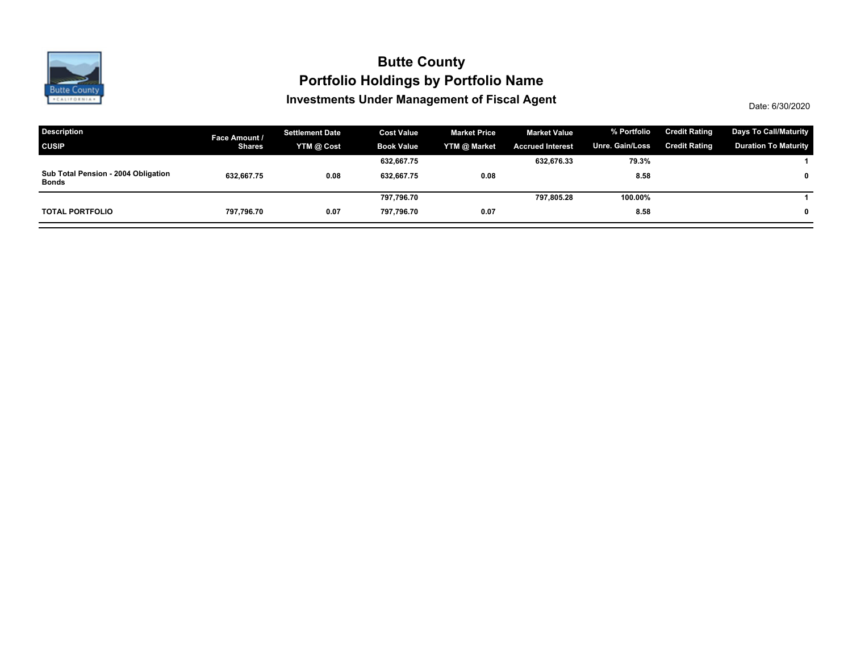

### **Investments Under Management of Fiscal Agent Portfolio Holdings by Portfolio Name Butte County**

Date: 6/30/2020

| <b>Description</b>                                  | Face Amount / | <b>Settlement Date</b> | <b>Cost Value</b> | <b>Market Price</b> | <b>Market Value</b>     | % Portfolio     | <b>Credit Rating</b> | <b>Days To Call/Maturity</b> |
|-----------------------------------------------------|---------------|------------------------|-------------------|---------------------|-------------------------|-----------------|----------------------|------------------------------|
| <b>CUSIP</b>                                        | <b>Shares</b> | YTM @ Cost             | <b>Book Value</b> | YTM @ Market        | <b>Accrued Interest</b> | Unre. Gain/Loss | <b>Credit Rating</b> | <b>Duration To Maturity</b>  |
|                                                     |               |                        | 632,667.75        |                     | 632,676.33              | 79.3%           |                      |                              |
| Sub Total Pension - 2004 Obligation<br><b>Bonds</b> | 632,667.75    | 0.08                   | 632.667.75        | 0.08                |                         | 8.58            |                      | $\mathbf 0$                  |
|                                                     |               |                        | 797,796.70        |                     | 797,805.28              | 100.00%         |                      |                              |
| <b>TOTAL PORTFOLIO</b>                              | 797.796.70    | 0.07                   | 797.796.70        | 0.07                |                         | 8.58            |                      | $\mathbf{0}$                 |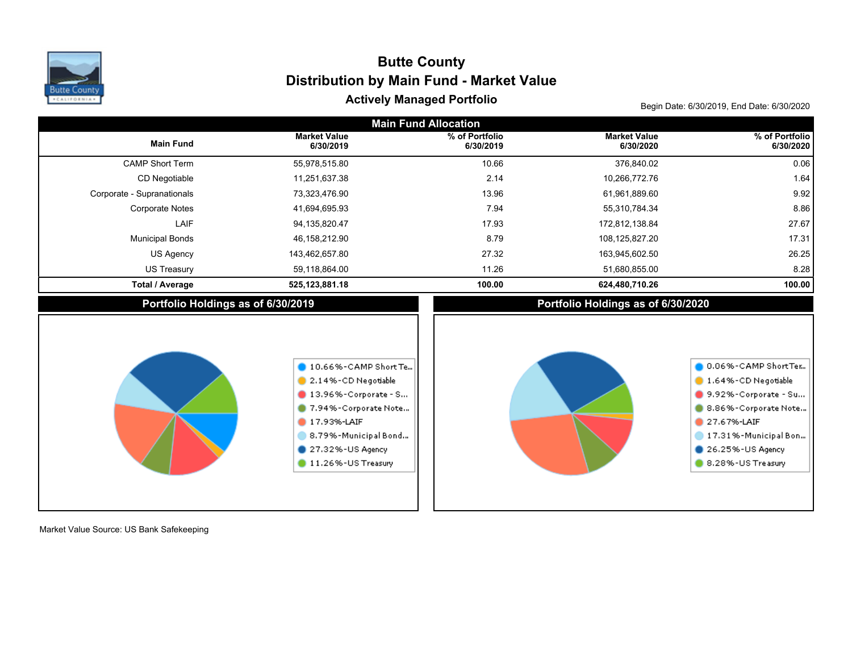

# Actively Managed Portfolio **Actively Managed Portfolio Begin Date: 6/30/2019, End Date: 6/30/2020 Distribution by Main Fund - Market Value Butte County**

| <b>Main Fund Allocation</b>        |                                                                                                                                                                                             |                             |                                    |                                                                                                                                                                            |  |  |  |  |  |  |  |
|------------------------------------|---------------------------------------------------------------------------------------------------------------------------------------------------------------------------------------------|-----------------------------|------------------------------------|----------------------------------------------------------------------------------------------------------------------------------------------------------------------------|--|--|--|--|--|--|--|
| <b>Main Fund</b>                   | <b>Market Value</b><br>6/30/2019                                                                                                                                                            | % of Portfolio<br>6/30/2019 | <b>Market Value</b><br>6/30/2020   | % of Portfolio<br>6/30/2020                                                                                                                                                |  |  |  |  |  |  |  |
| <b>CAMP Short Term</b>             | 55,978,515.80                                                                                                                                                                               | 10.66                       | 376,840.02                         | 0.06                                                                                                                                                                       |  |  |  |  |  |  |  |
| CD Negotiable                      | 11,251,637.38                                                                                                                                                                               | 2.14                        | 10,266,772.76                      | 1.64                                                                                                                                                                       |  |  |  |  |  |  |  |
| Corporate - Supranationals         | 73,323,476.90                                                                                                                                                                               | 13.96                       | 61,961,889.60                      | 9.92                                                                                                                                                                       |  |  |  |  |  |  |  |
| <b>Corporate Notes</b>             | 41,694,695.93                                                                                                                                                                               | 7.94                        | 55,310,784.34                      | 8.86                                                                                                                                                                       |  |  |  |  |  |  |  |
| LAIF                               | 94,135,820.47                                                                                                                                                                               | 17.93                       | 172,812,138.84                     | 27.67                                                                                                                                                                      |  |  |  |  |  |  |  |
| <b>Municipal Bonds</b>             | 46,158,212.90                                                                                                                                                                               | 8.79                        | 108,125,827.20                     | 17.31                                                                                                                                                                      |  |  |  |  |  |  |  |
| US Agency                          | 143,462,657.80                                                                                                                                                                              | 27.32                       | 163,945,602.50                     | 26.25                                                                                                                                                                      |  |  |  |  |  |  |  |
| <b>US Treasury</b>                 | 59,118,864.00                                                                                                                                                                               | 11.26                       | 51,680,855.00                      | 8.28                                                                                                                                                                       |  |  |  |  |  |  |  |
| <b>Total / Average</b>             | 525,123,881.18                                                                                                                                                                              | 100.00                      | 624,480,710.26                     | 100.00                                                                                                                                                                     |  |  |  |  |  |  |  |
| Portfolio Holdings as of 6/30/2019 |                                                                                                                                                                                             |                             | Portfolio Holdings as of 6/30/2020 |                                                                                                                                                                            |  |  |  |  |  |  |  |
|                                    | 10.66%-CAMP Short Te<br>2.14%-CD Negotiable<br>$\blacksquare$ 13.96%-Corporate - S<br>7.94%-Corporate Note<br>17.93%-LAIF<br>8.79%-Municipal Bond<br>27.32%-US Agency<br>11.26%-US Treasury |                             |                                    | 0.06%-CAMP ShortTer<br>1.64%-CD Negotiable<br>9.92%-Corporate - Su<br>8.86%-Corporate Note<br>27.67%-LAIF<br>17.31%-Municipal Bon<br>26.25%-US Agency<br>8.28%-US Treasury |  |  |  |  |  |  |  |

Market Value Source: US Bank Safekeeping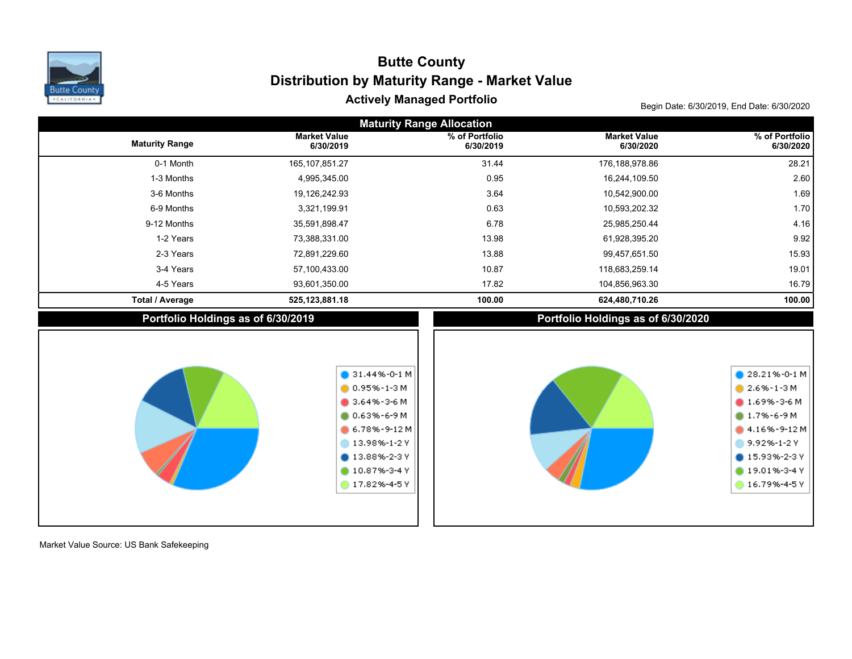

## Actively Managed Portfolio **Actively Managed Portfolio Begin Date: 6/30/2019, End Date: 6/30/2020 Distribution by Maturity Range - Market Value Butte County**

|                                    | <b>Maturity Range Allocation</b>                                                                                                                                                    |                             |                                    |                                                                                                                                                                         |  |  |  |  |  |  |  |  |  |
|------------------------------------|-------------------------------------------------------------------------------------------------------------------------------------------------------------------------------------|-----------------------------|------------------------------------|-------------------------------------------------------------------------------------------------------------------------------------------------------------------------|--|--|--|--|--|--|--|--|--|
| <b>Maturity Range</b>              | <b>Market Value</b><br>6/30/2019                                                                                                                                                    | % of Portfolio<br>6/30/2019 | <b>Market Value</b><br>6/30/2020   | % of Portfolio<br>6/30/2020                                                                                                                                             |  |  |  |  |  |  |  |  |  |
| 0-1 Month                          | 165, 107, 851.27                                                                                                                                                                    | 31.44                       | 176,188,978.86                     | 28.21                                                                                                                                                                   |  |  |  |  |  |  |  |  |  |
| 1-3 Months                         | 4,995,345.00                                                                                                                                                                        | 0.95                        | 16,244,109.50                      | 2.60                                                                                                                                                                    |  |  |  |  |  |  |  |  |  |
| 3-6 Months                         | 19,126,242.93                                                                                                                                                                       | 3.64                        | 10,542,900.00                      | 1.69                                                                                                                                                                    |  |  |  |  |  |  |  |  |  |
| 6-9 Months                         | 3,321,199.91                                                                                                                                                                        | 0.63                        | 10,593,202.32                      | 1.70                                                                                                                                                                    |  |  |  |  |  |  |  |  |  |
| 9-12 Months                        | 35,591,898.47                                                                                                                                                                       | 6.78                        | 25,985,250.44                      | 4.16                                                                                                                                                                    |  |  |  |  |  |  |  |  |  |
| 1-2 Years                          | 73,388,331.00                                                                                                                                                                       | 13.98                       | 61,928,395.20                      | 9.92                                                                                                                                                                    |  |  |  |  |  |  |  |  |  |
| 2-3 Years                          | 72,891,229.60                                                                                                                                                                       | 13.88                       | 99,457,651.50                      | 15.93                                                                                                                                                                   |  |  |  |  |  |  |  |  |  |
| 3-4 Years                          | 57,100,433.00                                                                                                                                                                       | 10.87                       | 118,683,259.14                     | 19.01                                                                                                                                                                   |  |  |  |  |  |  |  |  |  |
| 4-5 Years                          | 93,601,350.00                                                                                                                                                                       | 17.82                       | 104,856,963.30                     | 16.79                                                                                                                                                                   |  |  |  |  |  |  |  |  |  |
| <b>Total / Average</b>             | 525, 123, 881. 18                                                                                                                                                                   | 100.00                      | 624,480,710.26                     | 100.00                                                                                                                                                                  |  |  |  |  |  |  |  |  |  |
| Portfolio Holdings as of 6/30/2019 |                                                                                                                                                                                     |                             | Portfolio Holdings as of 6/30/2020 |                                                                                                                                                                         |  |  |  |  |  |  |  |  |  |
|                                    | $\bullet$ 31.44%-0-1 M<br>$0.95\% - 1 - 3$ M<br>$3.64\% - 3 - 6$ M<br>$0.63\% - 6 - 9M$<br>$6.78\% - 9 - 12M$<br>13.98%-1-2 Y<br><b>13.88%-2-3 Y</b><br>10.87%-3-4 Y<br>17.82%-4-5Y |                             |                                    | $28.21% -0-1 M$<br>$2.6\% - 1 - 3$ M<br>$1.69\% - 3 - 6$ M<br>$0.7\% - 6 - 9$ M<br>4.16%-9-12M<br>9.92%-1-2 Y<br><b>15.93%-2-3Y</b><br>$19.01% - 3 - 4V$<br>16.79%-4-5Y |  |  |  |  |  |  |  |  |  |

Market Value Source: US Bank Safekeeping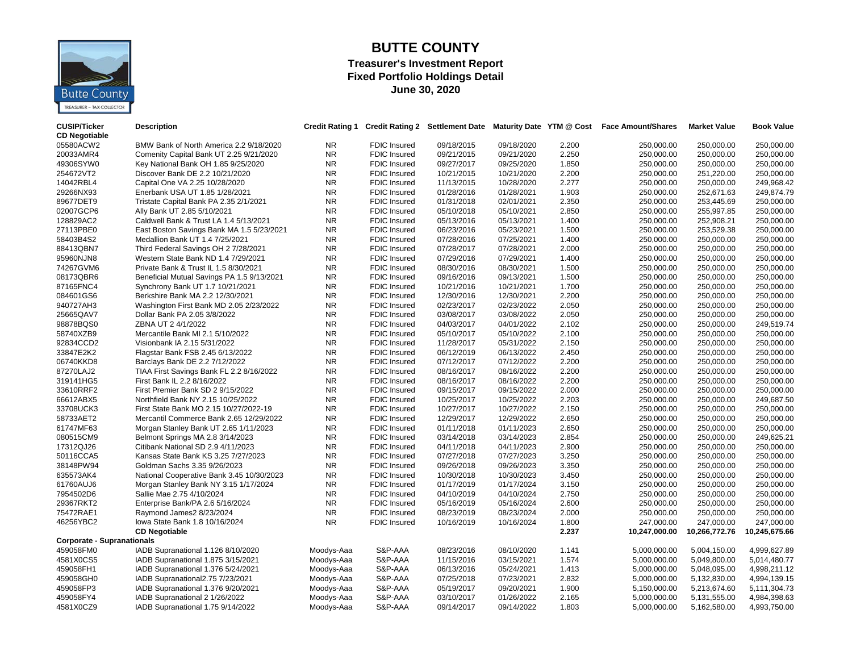

#### **BUTTE COUNTY Treasurer's Investment Report Fixed Portfolio Holdings Detail June 30, 2020**

| <b>CUSIP/Ticker</b><br><b>CD Negotiable</b> | <b>Description</b>                         |                |                     |            |            |       | Credit Rating 1 Credit Rating 2 Settlement Date Maturity Date YTM @ Cost Face Amount/Shares | <b>Market Value</b> | <b>Book Value</b> |
|---------------------------------------------|--------------------------------------------|----------------|---------------------|------------|------------|-------|---------------------------------------------------------------------------------------------|---------------------|-------------------|
| 05580ACW2                                   | BMW Bank of North America 2.2 9/18/2020    | <b>NR</b>      | <b>FDIC Insured</b> | 09/18/2015 | 09/18/2020 | 2.200 | 250,000.00                                                                                  | 250.000.00          | 250.000.00        |
| 20033AMR4                                   | Comenity Capital Bank UT 2.25 9/21/2020    | NR             | <b>FDIC Insured</b> | 09/21/2015 | 09/21/2020 | 2.250 | 250,000.00                                                                                  | 250,000.00          | 250,000.00        |
| 49306SYW0                                   | Key National Bank OH 1.85 9/25/2020        | <b>NR</b>      | FDIC Insured        | 09/27/2017 | 09/25/2020 | 1.850 | 250,000.00                                                                                  | 250,000.00          | 250,000.00        |
| 254672VT2                                   | Discover Bank DE 2.2 10/21/2020            | <b>NR</b>      | <b>FDIC Insured</b> | 10/21/2015 | 10/21/2020 | 2.200 | 250,000.00                                                                                  | 251,220.00          | 250,000.00        |
| 14042RBL4                                   | Capital One VA 2.25 10/28/2020             | <b>NR</b>      | <b>FDIC Insured</b> | 11/13/2015 | 10/28/2020 | 2.277 | 250.000.00                                                                                  | 250,000.00          | 249,968.42        |
| 29266NX93                                   | Enerbank USA UT 1.85 1/28/2021             | NR             | <b>FDIC Insured</b> | 01/28/2016 | 01/28/2021 | 1.903 | 250,000.00                                                                                  | 252,671.63          | 249,874.79        |
| 89677DET9                                   | Tristate Capital Bank PA 2.35 2/1/2021     | <b>NR</b>      | FDIC Insured        | 01/31/2018 | 02/01/2021 | 2.350 | 250,000.00                                                                                  | 253,445.69          | 250,000.00        |
| 02007GCP6                                   | Ally Bank UT 2.85 5/10/2021                | <b>NR</b>      | FDIC Insured        | 05/10/2018 | 05/10/2021 | 2.850 | 250,000.00                                                                                  | 255,997.85          | 250,000.00        |
| 128829AC2                                   | Caldwell Bank & Trust LA 1.4 5/13/2021     | NR             | FDIC Insured        | 05/13/2016 | 05/13/2021 | 1.400 | 250,000.00                                                                                  | 252,908.21          | 250,000.00        |
| 27113PBE0                                   | East Boston Savings Bank MA 1.5 5/23/2021  | NR             | <b>FDIC Insured</b> | 06/23/2016 | 05/23/2021 | 1.500 | 250,000.00                                                                                  | 253,529.38          | 250,000.00        |
| 58403B4S2                                   | Medallion Bank UT 1.4 7/25/2021            | <b>NR</b>      | <b>FDIC Insured</b> | 07/28/2016 | 07/25/2021 | 1.400 | 250,000.00                                                                                  | 250,000.00          | 250,000.00        |
| 88413QBN7                                   | Third Federal Savings OH 2 7/28/2021       | <b>NR</b>      | <b>FDIC Insured</b> | 07/28/2017 | 07/28/2021 | 2.000 | 250.000.00                                                                                  | 250.000.00          | 250.000.00        |
| 95960NJN8                                   | Western State Bank ND 1.4 7/29/2021        | <b>NR</b>      | <b>FDIC Insured</b> | 07/29/2016 | 07/29/2021 | 1.400 | 250,000.00                                                                                  | 250,000.00          | 250,000.00        |
| 74267GVM6                                   | Private Bank & Trust IL 1.5 8/30/2021      | N <sub>R</sub> | <b>FDIC Insured</b> | 08/30/2016 | 08/30/2021 | 1.500 | 250,000.00                                                                                  | 250,000.00          | 250,000.00        |
| 08173QBR6                                   | Beneficial Mutual Savings PA 1.5 9/13/2021 | NR             | FDIC Insured        | 09/16/2016 | 09/13/2021 | 1.500 | 250,000.00                                                                                  | 250,000.00          | 250,000.00        |
| 87165FNC4                                   | Synchrony Bank UT 1.7 10/21/2021           | <b>NR</b>      | FDIC Insured        | 10/21/2016 | 10/21/2021 | 1.700 | 250,000.00                                                                                  | 250,000.00          | 250,000.00        |
| 084601GS6                                   | Berkshire Bank MA 2.2 12/30/2021           | <b>NR</b>      | <b>FDIC Insured</b> | 12/30/2016 | 12/30/2021 | 2.200 | 250,000.00                                                                                  | 250,000.00          | 250,000.00        |
| 940727AH3                                   | Washington First Bank MD 2.05 2/23/2022    | <b>NR</b>      | <b>FDIC Insured</b> | 02/23/2017 | 02/23/2022 | 2.050 | 250,000.00                                                                                  | 250,000.00          | 250,000.00        |
| 25665QAV7                                   | Dollar Bank PA 2.05 3/8/2022               | <b>NR</b>      | <b>FDIC Insured</b> | 03/08/2017 | 03/08/2022 | 2.050 | 250,000.00                                                                                  | 250,000.00          | 250,000.00        |
| 98878BQS0                                   | ZBNA UT 2 4/1/2022                         | NR             | <b>FDIC Insured</b> | 04/03/2017 | 04/01/2022 | 2.102 | 250,000.00                                                                                  | 250,000.00          | 249,519.74        |
| 58740XZB9                                   | Mercantile Bank MI 2.1 5/10/2022           | <b>NR</b>      | <b>FDIC Insured</b> | 05/10/2017 | 05/10/2022 | 2.100 | 250,000.00                                                                                  | 250,000.00          | 250,000.00        |
| 92834CCD2                                   | Visionbank IA 2.15 5/31/2022               | <b>NR</b>      | <b>FDIC Insured</b> | 11/28/2017 | 05/31/2022 | 2.150 | 250,000.00                                                                                  | 250,000.00          | 250,000.00        |
| 33847E2K2                                   | Flagstar Bank FSB 2.45 6/13/2022           | NR             | <b>FDIC Insured</b> | 06/12/2019 | 06/13/2022 | 2.450 | 250,000.00                                                                                  | 250,000.00          | 250,000.00        |
| 06740KKD8                                   | Barclays Bank DE 2.2 7/12/2022             | <b>NR</b>      | <b>FDIC Insured</b> | 07/12/2017 | 07/12/2022 | 2.200 | 250,000.00                                                                                  | 250,000.00          | 250,000.00        |
| 87270LAJ2                                   | TIAA First Savings Bank FL 2.2 8/16/2022   | <b>NR</b>      | <b>FDIC Insured</b> | 08/16/2017 | 08/16/2022 | 2.200 | 250,000.00                                                                                  | 250,000.00          | 250,000.00        |
| 319141HG5                                   | First Bank IL 2.2 8/16/2022                | <b>NR</b>      | <b>FDIC Insured</b> | 08/16/2017 | 08/16/2022 | 2.200 | 250,000.00                                                                                  | 250,000.00          | 250,000.00        |
| 33610RRF2                                   | First Premier Bank SD 2 9/15/2022          | NR.            | <b>FDIC Insured</b> | 09/15/2017 | 09/15/2022 | 2.000 | 250,000.00                                                                                  | 250,000.00          | 250,000.00        |
| 66612ABX5                                   | Northfield Bank NY 2.15 10/25/2022         | <b>NR</b>      | <b>FDIC Insured</b> | 10/25/2017 | 10/25/2022 | 2.203 | 250,000.00                                                                                  | 250,000.00          | 249,687.50        |
| 33708UCK3                                   | First State Bank MO 2.15 10/27/2022-19     | <b>NR</b>      | FDIC Insured        | 10/27/2017 | 10/27/2022 | 2.150 | 250,000.00                                                                                  | 250,000.00          | 250,000.00        |
| 58733AET2                                   | Mercantil Commerce Bank 2.65 12/29/2022    | NR             | <b>FDIC Insured</b> | 12/29/2017 | 12/29/2022 | 2.650 | 250,000.00                                                                                  | 250,000.00          | 250,000.00        |
| 61747MF63                                   | Morgan Stanley Bank UT 2.65 1/11/2023      | <b>NR</b>      | <b>FDIC Insured</b> | 01/11/2018 | 01/11/2023 | 2.650 | 250,000.00                                                                                  | 250,000.00          | 250,000.00        |
| 080515CM9                                   | Belmont Springs MA 2.8 3/14/2023           | <b>NR</b>      | <b>FDIC Insured</b> | 03/14/2018 | 03/14/2023 | 2.854 | 250.000.00                                                                                  | 250.000.00          | 249.625.21        |
| 17312QJ26                                   | Citibank National SD 2.9 4/11/2023         | NR             | <b>FDIC Insured</b> | 04/11/2018 | 04/11/2023 | 2.900 | 250,000.00                                                                                  | 250,000.00          | 250,000.00        |
| 50116CCA5                                   | Kansas State Bank KS 3.25 7/27/2023        | <b>NR</b>      | <b>FDIC Insured</b> | 07/27/2018 | 07/27/2023 | 3.250 | 250,000.00                                                                                  | 250,000.00          | 250,000.00        |
| 38148PW94                                   | Goldman Sachs 3.35 9/26/2023               | <b>NR</b>      | FDIC Insured        | 09/26/2018 | 09/26/2023 | 3.350 | 250,000.00                                                                                  | 250,000.00          | 250,000.00        |
| 635573AK4                                   | National Cooperative Bank 3.45 10/30/2023  | <b>NR</b>      | FDIC Insured        | 10/30/2018 | 10/30/2023 | 3.450 | 250,000.00                                                                                  | 250,000.00          | 250,000.00        |
| 61760AUJ6                                   | Morgan Stanley Bank NY 3.15 1/17/2024      | NR             | <b>FDIC Insured</b> | 01/17/2019 | 01/17/2024 | 3.150 | 250,000.00                                                                                  | 250,000.00          | 250,000.00        |
| 7954502D6                                   | Sallie Mae 2.75 4/10/2024                  | <b>NR</b>      | <b>FDIC Insured</b> | 04/10/2019 | 04/10/2024 | 2.750 | 250,000.00                                                                                  | 250,000.00          | 250,000.00        |
| 29367RKT2                                   | Enterprise Bank/PA 2.6 5/16/2024           | <b>NR</b>      | <b>FDIC Insured</b> | 05/16/2019 | 05/16/2024 | 2.600 | 250,000.00                                                                                  | 250,000.00          | 250,000.00        |
| 75472RAE1                                   | Raymond James2 8/23/2024                   | NR.            | <b>FDIC Insured</b> | 08/23/2019 | 08/23/2024 | 2.000 | 250,000.00                                                                                  | 250,000.00          | 250,000.00        |
| 46256YBC2                                   | lowa State Bank 1.8 10/16/2024             | <b>NR</b>      | <b>FDIC Insured</b> | 10/16/2019 | 10/16/2024 | 1.800 | 247,000.00                                                                                  | 247,000.00          | 247,000.00        |
|                                             | <b>CD Negotiable</b>                       |                |                     |            |            | 2.237 | 10,247,000.00                                                                               | 10,266,772.76       | 10,245,675.66     |
| <b>Corporate - Supranationals</b>           |                                            |                |                     |            |            |       |                                                                                             |                     |                   |
| 459058FM0                                   | IADB Supranational 1.126 8/10/2020         | Moodys-Aaa     | S&P-AAA             | 08/23/2016 | 08/10/2020 | 1.141 | 5,000,000.00                                                                                | 5,004,150.00        | 4,999,627.89      |
| 4581X0CS5                                   | IADB Supranational 1.875 3/15/2021         | Moodys-Aaa     | S&P-AAA             | 11/15/2016 | 03/15/2021 | 1.574 | 5,000,000.00                                                                                | 5,049,800.00        | 5,014,480.77      |
| 459058FH1                                   | IADB Supranational 1.376 5/24/2021         | Moodys-Aaa     | S&P-AAA             | 06/13/2016 | 05/24/2021 | 1.413 | 5,000,000.00                                                                                | 5,048,095.00        | 4,998,211.12      |
| 459058GH0                                   | IADB Supranational2.75 7/23/2021           | Moodys-Aaa     | S&P-AAA             | 07/25/2018 | 07/23/2021 | 2.832 | 5,000,000.00                                                                                | 5,132,830.00        | 4,994,139.15      |
| 459058FP3                                   | IADB Supranational 1.376 9/20/2021         | Moodys-Aaa     | S&P-AAA             | 05/19/2017 | 09/20/2021 | 1.900 | 5,150,000.00                                                                                | 5,213,674.60        | 5,111,304.73      |
| 459058FY4                                   | IADB Supranational 2 1/26/2022             | Moodys-Aaa     | S&P-AAA             | 03/10/2017 | 01/26/2022 | 2.165 | 5,000,000.00                                                                                | 5,131,555.00        | 4,984,398.63      |
| 4581X0CZ9                                   | IADB Supranational 1.75 9/14/2022          | Moodys-Aaa     | S&P-AAA             | 09/14/2017 | 09/14/2022 | 1.803 | 5,000,000.00                                                                                | 5,162,580.00        | 4,993,750.00      |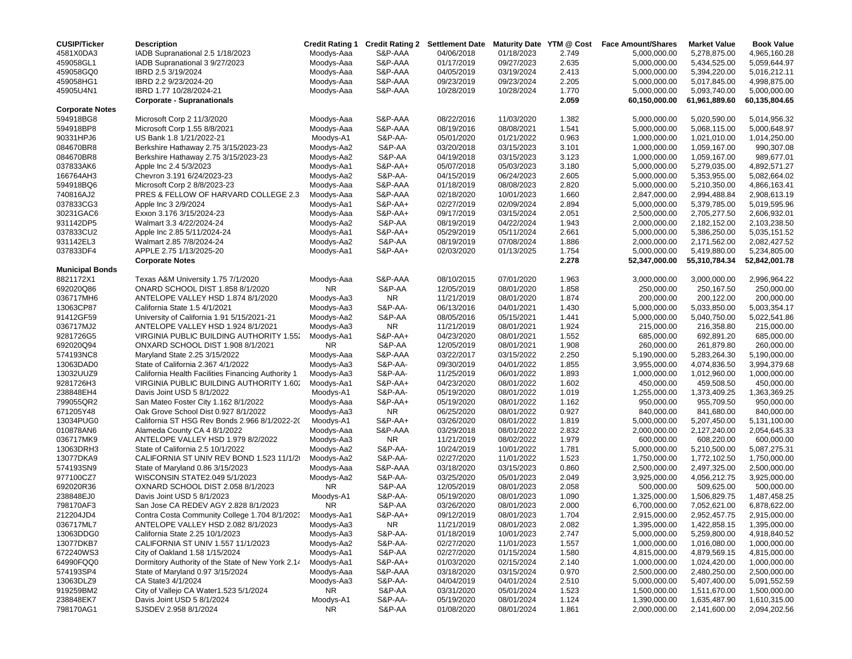| <b>CUSIP/Ticker</b>    | <b>Description</b>                                                     |                          |                     |                          |                          |                | Credit Rating 1 Credit Rating 2 Settlement Date Maturity Date YTM @ Cost Face Amount/Shares | <b>Market Value</b>        | <b>Book Value</b>          |
|------------------------|------------------------------------------------------------------------|--------------------------|---------------------|--------------------------|--------------------------|----------------|---------------------------------------------------------------------------------------------|----------------------------|----------------------------|
| 4581X0DA3              | IADB Supranational 2.5 1/18/2023                                       | Moodys-Aaa               | S&P-AAA             | 04/06/2018               | 01/18/2023               | 2.749          | 5,000,000.00                                                                                | 5,278,875.00               | 4,965,160.28               |
| 459058GL1              | IADB Supranational 3 9/27/2023                                         | Moodys-Aaa               | S&P-AAA             | 01/17/2019               | 09/27/2023               | 2.635          | 5,000,000.00                                                                                | 5,434,525.00               | 5,059,644.97               |
| 459058GQ0              | IBRD 2.5 3/19/2024                                                     | Moodys-Aaa               | S&P-AAA             | 04/05/2019               | 03/19/2024               | 2.413          | 5,000,000.00                                                                                | 5,394,220.00               | 5,016,212.11               |
| 459058HG1              | IBRD 2.2 9/23/2024-20                                                  | Moodys-Aaa               | S&P-AAA             | 09/23/2019               | 09/23/2024               | 2.205          | 5,000,000.00                                                                                | 5,017,845.00               | 4,998,875.00               |
| 45905U4N1              | IBRD 1.77 10/28/2024-21                                                | Moodys-Aaa               | S&P-AAA             | 10/28/2019               | 10/28/2024               | 1.770          | 5,000,000.00                                                                                | 5,093,740.00               | 5,000,000.00               |
|                        | <b>Corporate - Supranationals</b>                                      |                          |                     |                          |                          | 2.059          | 60,150,000.00                                                                               | 61,961,889.60              | 60,135,804.65              |
| <b>Corporate Notes</b> |                                                                        |                          |                     |                          |                          |                |                                                                                             |                            |                            |
| 594918BG8              | Microsoft Corp 2 11/3/2020                                             | Moodys-Aaa               | S&P-AAA             | 08/22/2016               | 11/03/2020               | 1.382          | 5,000,000.00                                                                                | 5,020,590.00               | 5,014,956.32               |
| 594918BP8              | Microsoft Corp 1.55 8/8/2021                                           | Moodys-Aaa               | S&P-AAA             | 08/19/2016               | 08/08/2021               | 1.541          | 5,000,000.00                                                                                | 5,068,115.00               | 5,000,648.97               |
| 90331HPJ6              | US Bank 1.8 1/21/2022-21                                               | Moodys-A1                | S&P-AA-             | 05/01/2020               | 01/21/2022               | 0.963          | 1,000,000.00                                                                                | 1,021,010.00               | 1,014,250.00               |
| 084670BR8              | Berkshire Hathaway 2.75 3/15/2023-23                                   | Moodys-Aa2               | S&P-AA              | 03/20/2018               | 03/15/2023               | 3.101          | 1,000,000.00                                                                                | 1,059,167.00               | 990,307.08                 |
| 084670BR8              | Berkshire Hathaway 2.75 3/15/2023-23                                   | Moodys-Aa2               | S&P-AA              | 04/19/2018               | 03/15/2023               | 3.123          | 1,000,000.00                                                                                | 1,059,167.00               | 989,677.01                 |
| 037833AK6              | Apple Inc 2.4 5/3/2023                                                 | Moodys-Aa1               | S&P-AA+             | 05/07/2018               | 05/03/2023               | 3.180          | 5,000,000.00                                                                                | 5,279,035.00               | 4,892,571.27               |
| 166764AH3              | Chevron 3.191 6/24/2023-23                                             | Moodys-Aa2               | S&P-AA-             | 04/15/2019               | 06/24/2023               | 2.605          | 5,000,000.00                                                                                | 5,353,955.00               | 5,082,664.02               |
| 594918BQ6              | Microsoft Corp 2 8/8/2023-23                                           | Moodys-Aaa               | S&P-AAA             | 01/18/2019               | 08/08/2023               | 2.820          | 5,000,000.00                                                                                | 5,210,350.00               | 4,866,163.41               |
| 740816AJ2              | PRES & FELLOW OF HARVARD COLLEGE 2.3                                   | Moodys-Aaa               | S&P-AAA             | 02/18/2020               | 10/01/2023               | 1.660          | 2,847,000.00                                                                                | 2,994,488.84               | 2,908,613.19               |
| 037833CG3              | Apple Inc 3 2/9/2024                                                   | Moodys-Aa1               | S&P-AA+             | 02/27/2019               | 02/09/2024               | 2.894          | 5,000,000.00                                                                                | 5,379,785.00               | 5,019,595.96               |
| 30231GAC6              | Exxon 3.176 3/15/2024-23                                               | Moodys-Aaa               | S&P-AA+             | 09/17/2019               | 03/15/2024               | 2.051          | 2,500,000.00                                                                                | 2,705,277.50               | 2,606,932.01               |
| 931142DP5              | Walmart 3.3 4/22/2024-24                                               | Moodys-Aa2               | S&P-AA              | 08/19/2019               | 04/22/2024               | 1.943          | 2,000,000.00                                                                                | 2,182,152.00               | 2,103,238.50               |
| 037833CU2              | Apple Inc 2.85 5/11/2024-24                                            | Moodys-Aa1               | S&P-AA+             | 05/29/2019               | 05/11/2024               | 2.661          | 5,000,000.00                                                                                | 5,386,250.00               | 5,035,151.52               |
| 931142EL3              | Walmart 2.85 7/8/2024-24                                               | Moodys-Aa2               | S&P-AA              | 08/19/2019               | 07/08/2024               | 1.886          | 2,000,000.00                                                                                | 2,171,562.00               | 2,082,427.52               |
| 037833DF4              | APPLE 2.75 1/13/2025-20                                                | Moodys-Aa1               | S&P-AA+             | 02/03/2020               | 01/13/2025               | 1.754          | 5,000,000.00                                                                                | 5,419,880.00               | 5,234,805.00               |
| <b>Municipal Bonds</b> | <b>Corporate Notes</b>                                                 |                          |                     |                          |                          | 2.278          | 52,347,000.00                                                                               | 55,310,784.34              | 52,842,001.78              |
| 8821172X1              | Texas A&M University 1.75 7/1/2020                                     |                          |                     |                          |                          |                |                                                                                             |                            |                            |
|                        |                                                                        | Moodys-Aaa<br><b>NR</b>  | S&P-AAA             | 08/10/2015               | 07/01/2020               | 1.963          | 3,000,000.00                                                                                | 3,000,000.00               | 2,996,964.22               |
| 692020Q86<br>036717MH6 | ONARD SCHOOL DIST 1.858 8/1/2020<br>ANTELOPE VALLEY HSD 1.874 8/1/2020 |                          | S&P-AA<br><b>NR</b> | 12/05/2019<br>11/21/2019 | 08/01/2020<br>08/01/2020 | 1.858          | 250,000.00                                                                                  | 250,167.50                 | 250,000.00                 |
| 13063CP87              | California State 1.5 4/1/2021                                          | Moodys-Aa3<br>Moodys-Aa3 | S&P-AA-             | 06/13/2016               | 04/01/2021               | 1.874<br>1.430 | 200,000.00<br>5,000,000.00                                                                  | 200,122.00<br>5,033,850.00 | 200,000.00<br>5,003,354.17 |
| 91412GF59              | University of California 1.91 5/15/2021-21                             | Moodys-Aa2               | S&P-AA              | 08/05/2016               | 05/15/2021               | 1.441          |                                                                                             |                            | 5,022,541.86               |
| 036717MJ2              | ANTELOPE VALLEY HSD 1.924 8/1/2021                                     | Moodys-Aa3               | NR.                 | 11/21/2019               | 08/01/2021               | 1.924          | 5,000,000.00<br>215,000.00                                                                  | 5,040,750.00<br>216,358.80 | 215,000.00                 |
| 9281726G5              | VIRGINIA PUBLIC BUILDING AUTHORITY 1.552                               | Moodys-Aa1               | S&P-AA+             | 04/23/2020               | 08/01/2021               | 1.552          | 685,000.00                                                                                  | 692,891.20                 | 685,000.00                 |
| 692020Q94              | ONXARD SCHOOL DIST 1.908 8/1/2021                                      | <b>NR</b>                | S&P-AA              | 12/05/2019               | 08/01/2021               | 1.908          | 260,000.00                                                                                  | 261,879.80                 | 260,000.00                 |
| 574193NC8              | Maryland State 2.25 3/15/2022                                          | Moodys-Aaa               | S&P-AAA             | 03/22/2017               | 03/15/2022               | 2.250          | 5,190,000.00                                                                                | 5,283,264.30               | 5,190,000.00               |
| 13063DAD0              | State of California 2.367 4/1/2022                                     | Moodys-Aa3               | S&P-AA-             | 09/30/2019               | 04/01/2022               | 1.855          | 3,955,000.00                                                                                | 4,074,836.50               | 3,994,379.68               |
| 13032UUZ9              | California Health Facilities Financing Authority 1                     | Moodys-Aa3               | S&P-AA-             | 11/25/2019               | 06/01/2022               | 1.893          | 1,000,000.00                                                                                | 1,012,960.00               | 1,000,000.00               |
| 9281726H3              | VIRGINIA PUBLIC BUILDING AUTHORITY 1.60.                               | Moodys-Aa1               | S&P-AA+             | 04/23/2020               | 08/01/2022               | 1.602          | 450,000.00                                                                                  | 459,508.50                 | 450,000.00                 |
| 238848EH4              | Davis Joint USD 5 8/1/2022                                             | Moodys-A1                | S&P-AA-             | 05/19/2020               | 08/01/2022               | 1.019          | 1,255,000.00                                                                                | 1,373,409.25               | 1,363,369.25               |
| 799055QR2              | San Mateo Foster City 1.162 8/1/2022                                   | Moodys-Aaa               | S&P-AA+             | 05/19/2020               | 08/01/2022               | 1.162          | 950,000.00                                                                                  | 955,709.50                 | 950,000.00                 |
| 671205Y48              | Oak Grove School Dist 0.927 8/1/2022                                   | Moodys-Aa3               | NR.                 | 06/25/2020               | 08/01/2022               | 0.927          | 840,000.00                                                                                  | 841,680.00                 | 840,000.00                 |
| 13034PUG0              | California ST HSG Rev Bonds 2.966 8/1/2022-20                          | Moodys-A1                | S&P-AA+             | 03/26/2020               | 08/01/2022               | 1.819          | 5,000,000.00                                                                                | 5,207,450.00               | 5,131,100.00               |
| 010878AN6              | Alameda County CA 4 8/1/2022                                           | Moodys-Aaa               | S&P-AAA             | 03/29/2018               | 08/01/2022               | 2.832          | 2,000,000.00                                                                                | 2,127,240.00               | 2,054,645.33               |
| 036717MK9              | ANTELOPE VALLEY HSD 1.979 8/2/2022                                     | Moodys-Aa3               | <b>NR</b>           | 11/21/2019               | 08/02/2022               | 1.979          | 600,000.00                                                                                  | 608,220.00                 | 600,000.00                 |
| 13063DRH3              | State of California 2.5 10/1/2022                                      | Moodys-Aa2               | S&P-AA-             | 10/24/2019               | 10/01/2022               | 1.781          | 5,000,000.00                                                                                | 5,210,500.00               | 5,087,275.31               |
| 13077DKA9              | CALIFORNIA ST UNIV REV BOND 1.523 11/1/2                               | Moodys-Aa2               | S&P-AA-             | 02/27/2020               | 11/01/2022               | 1.523          | 1,750,000.00                                                                                | 1,772,102.50               | 1,750,000.00               |
| 574193SN9              | State of Maryland 0.86 3/15/2023                                       | Moodys-Aaa               | S&P-AAA             | 03/18/2020               | 03/15/2023               | 0.860          | 2,500,000.00                                                                                | 2,497,325.00               | 2,500,000.00               |
| 977100CZ7              | WISCONSIN STATE2.049 5/1/2023                                          | Moodys-Aa2               | S&P-AA-             | 03/25/2020               | 05/01/2023               | 2.049          | 3,925,000.00                                                                                | 4,056,212.75               | 3,925,000.00               |
| 692020R36              | OXNARD SCHOOL DIST 2.058 8/1/2023                                      | <b>NR</b>                | S&P-AA              | 12/05/2019               | 08/01/2023               | 2.058          | 500,000.00                                                                                  | 509,625.00                 | 500,000.00                 |
| 238848EJ0              | Davis Joint USD 5 8/1/2023                                             | Moodys-A1                | S&P-AA-             | 05/19/2020               | 08/01/2023               | 1.090          | 1,325,000.00                                                                                | 1,506,829.75               | 1,487,458.25               |
| 798170AF3              | San Jose CA REDEV AGY 2.828 8/1/2023                                   | NR.                      | S&P-AA              | 03/26/2020               | 08/01/2023               | 2.000          | 6,700,000.00                                                                                | 7,052,621.00               | 6,878,622.00               |
| 212204JD4              | Contra Costa Community College 1.704 8/1/2023                          | Moodys-Aa1               | S&P-AA+             | 09/12/2019               | 08/01/2023               | 1.704          | 2,915,000.00                                                                                | 2,952,457.75               | 2,915,000.00               |
| 036717ML7              | ANTELOPE VALLEY HSD 2.082 8/1/2023                                     | Moodys-Aa3               | NR.                 | 11/21/2019               | 08/01/2023               | 2.082          | 1,395,000.00                                                                                | 1,422,858.15               | 1,395,000.00               |
| 13063DDG0              | California State 2.25 10/1/2023                                        | Moodys-Aa3               | S&P-AA-             | 01/18/2019               | 10/01/2023               | 2.747          | 5,000,000.00                                                                                | 5,259,800.00               | 4,918,840.52               |
| 13077DKB7              | CALIFORNIA ST UNIV 1.557 11/1/2023                                     | Moodys-Aa2               | S&P-AA-             | 02/27/2020               | 11/01/2023               | 1.557          | 1,000,000.00                                                                                | 1,016,080.00               | 1,000,000.00               |
| 672240WS3              | City of Oakland 1.58 1/15/2024                                         | Moodys-Aa1               | S&P-AA              | 02/27/2020               | 01/15/2024               | 1.580          | 4,815,000.00                                                                                | 4,879,569.15               | 4,815,000.00               |
| 64990FQQ0              | Dormitory Authority of the State of New York 2.14                      | Moodys-Aa1               | S&P-AA+             | 01/03/2020               | 02/15/2024               | 2.140          | 1,000,000.00                                                                                | 1,024,420.00               | 1,000,000.00               |
| 574193SP4              | State of Maryland 0.97 3/15/2024                                       | Moodys-Aaa               | S&P-AAA             | 03/18/2020               | 03/15/2024               | 0.970          | 2,500,000.00                                                                                | 2,480,250.00               | 2,500,000.00               |
| 13063DLZ9              | CA State3 4/1/2024                                                     | Moodys-Aa3               | S&P-AA-             | 04/04/2019               | 04/01/2024               | 2.510          | 5,000,000.00                                                                                | 5,407,400.00               | 5,091,552.59               |
| 919259BM2              | City of Vallejo CA Water1.523 5/1/2024                                 | <b>NR</b>                | S&P-AA              | 03/31/2020               | 05/01/2024               | 1.523          | 1,500,000.00                                                                                | 1,511,670.00               | 1,500,000.00               |
| 238848EK7              | Davis Joint USD 5 8/1/2024                                             | Moodys-A1                | S&P-AA-             | 05/19/2020               | 08/01/2024               | 1.124          | 1,390,000.00                                                                                | 1,635,487.90               | 1,610,315.00               |
| 798170AG1              | SJSDEV 2.958 8/1/2024                                                  | NR.                      | S&P-AA              | 01/08/2020               | 08/01/2024               | 1.861          | 2,000,000.00                                                                                | 2,141,600.00               | 2,094,202.56               |